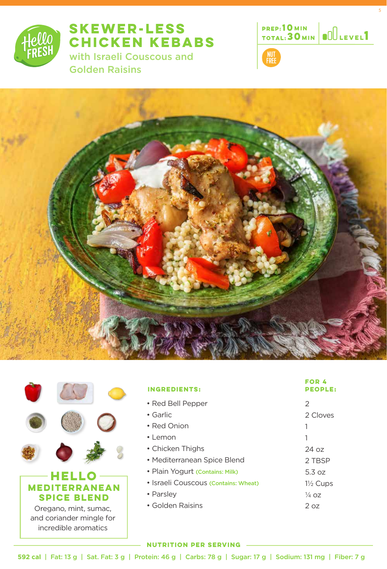

# **SKEWER-LESS CHICKEN KEBABS**  with Israeli Couscous and

Golden Raisins



5







and coriander mingle for incredible aromatics

| <b>INGREDIENTS:</b>                  | <b>FOR 4</b><br><b>PEOPLE:</b> |
|--------------------------------------|--------------------------------|
| • Red Bell Pepper                    | 2                              |
| • Garlic                             | 2 Cloves                       |
| • Red Onion                          |                                |
| $\cdot$   emon                       | 1                              |
| • Chicken Thighs                     | 24 oz                          |
| • Mediterranean Spice Blend          | 2 TBSP                         |
| • Plain Yogurt (Contains: Milk)      | 5.3 oz                         |
| • Israeli Couscous (Contains: Wheat) | $1\frac{1}{2}$ Cups            |
| • Parsley                            | $\frac{1}{4}$ 07               |
| • Golden Raisins                     | 2.07                           |

#### **NUTRITION PER SERVING**